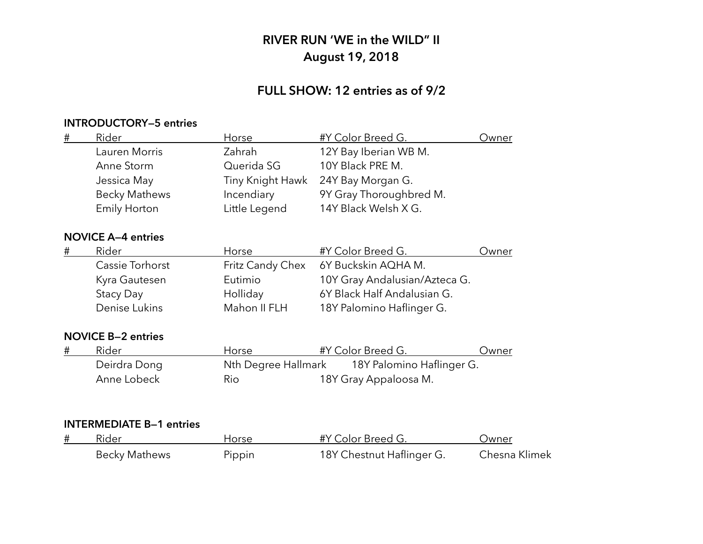## **FULL SHOW: 12 entries as of 9/2**

### **INTRODUCTORY—5 entries**

| $\#$ | Rider                     | Horse               | #Y Color Breed G.             | <u>Owner</u> |
|------|---------------------------|---------------------|-------------------------------|--------------|
|      | Lauren Morris             | Zahrah              | 12Y Bay Iberian WB M.         |              |
|      | Anne Storm                | Querida SG          | 10Y Black PRE M.              |              |
|      | Jessica May               | Tiny Knight Hawk    | 24Y Bay Morgan G.             |              |
|      | <b>Becky Mathews</b>      | Incendiary          | 9Y Gray Thoroughbred M.       |              |
|      | <b>Emily Horton</b>       | Little Legend       | 14Y Black Welsh X G.          |              |
|      | <b>NOVICE A-4 entries</b> |                     |                               |              |
| #    | Rider                     | Horse               | #Y Color Breed G.             | Owner        |
|      | Cassie Torhorst           | Fritz Candy Chex    | 6Y Buckskin AQHA M.           |              |
|      | Kyra Gautesen             | Eutimio             | 10Y Gray Andalusian/Azteca G. |              |
|      | Stacy Day                 | Holliday            | 6Y Black Half Andalusian G.   |              |
|      | Denise Lukins             | Mahon II FLH        | 18Y Palomino Haflinger G.     |              |
|      | <b>NOVICE B-2 entries</b> |                     |                               |              |
| #    | Rider                     | Horse               | #Y Color Breed G.             | Owner        |
|      | Deirdra Dong              | Nth Degree Hallmark | 18Y Palomino Haflinger G.     |              |
|      | Anne Lobeck               | Rio                 | 18Y Gray Appaloosa M.         |              |
|      |                           |                     |                               |              |
|      |                           |                     |                               |              |
|      |                           |                     |                               |              |

| Rider                | Horse  | #Y Color Breed G.         | Jwner         |
|----------------------|--------|---------------------------|---------------|
| <b>Becky Mathews</b> | Pippin | 18Y Chestnut Haflinger G. | Chesna Klimek |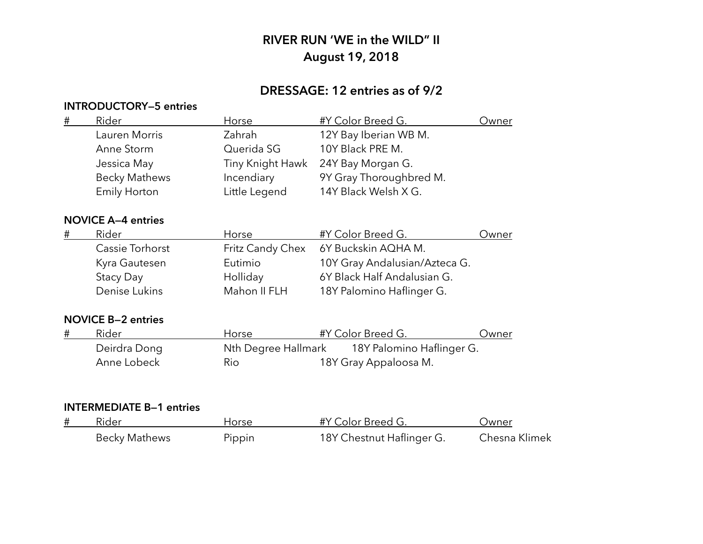## **DRESSAGE: 12 entries as of 9/2**

### **INTRODUCTORY—5 entries**

| $\#$    | Rider                     | Horse            | #Y Color Breed G.                             | Owner |
|---------|---------------------------|------------------|-----------------------------------------------|-------|
|         | Lauren Morris             | Zahrah           | 12Y Bay Iberian WB M.                         |       |
|         | Anne Storm                | Querida SG       | 10Y Black PRE M.                              |       |
|         | Jessica May               | Tiny Knight Hawk | 24Y Bay Morgan G.                             |       |
|         | <b>Becky Mathews</b>      | Incendiary       | 9Y Gray Thoroughbred M.                       |       |
|         | <b>Emily Horton</b>       | Little Legend    | 14Y Black Welsh X G.                          |       |
|         | <b>NOVICE A-4 entries</b> |                  |                                               |       |
| $^{\#}$ | Rider                     | Horse            | #Y Color Breed G.                             | Owner |
|         | Cassie Torhorst           | Fritz Candy Chex | 6Y Buckskin AQHA M.                           |       |
|         | Kyra Gautesen             | Eutimio          | 10Y Gray Andalusian/Azteca G.                 |       |
|         | Stacy Day                 | Holliday         | 6Y Black Half Andalusian G.                   |       |
|         | Denise Lukins             | Mahon II FLH     | 18Y Palomino Haflinger G.                     |       |
|         | <b>NOVICE B-2 entries</b> |                  |                                               |       |
| #       | Rider                     | Horse            | #Y Color Breed G.                             | Owner |
|         | Deirdra Dong              |                  | Nth Degree Hallmark 18Y Palomino Haflinger G. |       |
|         | Anne Lobeck               | Rio              | 18Y Gray Appaloosa M.                         |       |

| # | Rider                | Horse  | #Y Color Breed G.         | Jwner         |
|---|----------------------|--------|---------------------------|---------------|
|   | <b>Becky Mathews</b> | Pippin | 18Y Chestnut Haflinger G. | Chesna Klimek |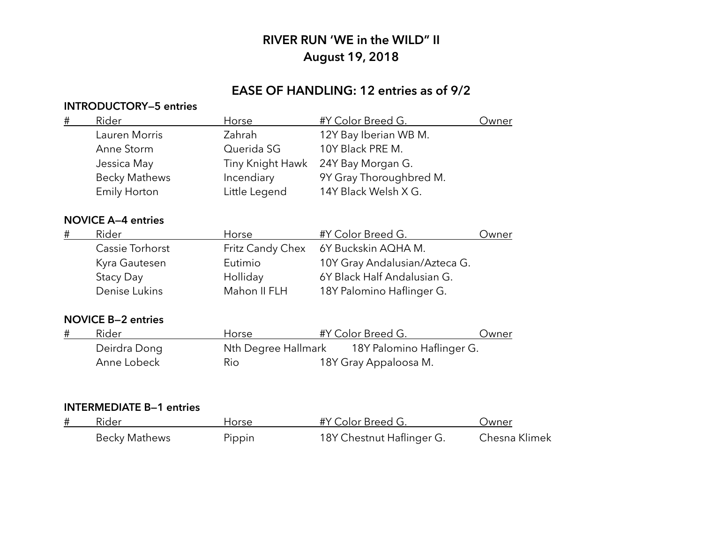# **EASE OF HANDLING: 12 entries as of 9/2**

### **INTRODUCTORY—5 entries**

| $\#$ | Rider                     | Horse               | #Y Color Breed G.             | Owner |
|------|---------------------------|---------------------|-------------------------------|-------|
|      | Lauren Morris             | Zahrah              | 12Y Bay Iberian WB M.         |       |
|      | Anne Storm                | Querida SG          | 10Y Black PRE M.              |       |
|      | Jessica May               | Tiny Knight Hawk    | 24Y Bay Morgan G.             |       |
|      | <b>Becky Mathews</b>      | Incendiary          | 9Y Gray Thoroughbred M.       |       |
|      | Emily Horton              | Little Legend       | 14Y Black Welsh X G.          |       |
|      | <b>NOVICE A-4 entries</b> |                     |                               |       |
| #    | Rider                     | Horse               | #Y Color Breed G.             | Owner |
|      | Cassie Torhorst           | Fritz Candy Chex    | 6Y Buckskin AQHA M.           |       |
|      | Kyra Gautesen             | Eutimio             | 10Y Gray Andalusian/Azteca G. |       |
|      | Stacy Day                 | Holliday            | 6Y Black Half Andalusian G.   |       |
|      | Denise Lukins             | Mahon II FLH        | 18Y Palomino Haflinger G.     |       |
|      | <b>NOVICE B-2 entries</b> |                     |                               |       |
| #    | Rider                     | Horse               | #Y Color Breed G.             | Owner |
|      | Deirdra Dong              | Nth Degree Hallmark | 18Y Palomino Haflinger G.     |       |
|      | Anne Lobeck               | Rio                 | 18Y Gray Appaloosa M.         |       |
|      |                           |                     |                               |       |

| # | Rider                | Horse  | #Y Color Breed G.         | Jwner         |
|---|----------------------|--------|---------------------------|---------------|
|   | <b>Becky Mathews</b> | Pippin | 18Y Chestnut Haflinger G. | Chesna Klimek |